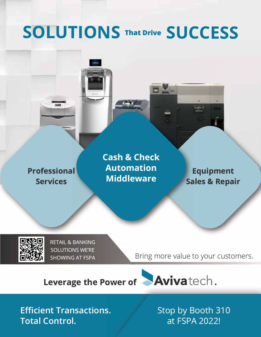# **SOLUTIONS That Drive SUCCESS**



**Cash & Check Automation Middleware** 

**Equipment Sales & Repair** 



**RETAIL & BANKING SOLUTIONS WE'RE SHOWING AT FSPA** 

Bring more value to your customers.



**Efficient Transactions. Total Control.** 

Stop by Booth 310 at FSPA 2022!